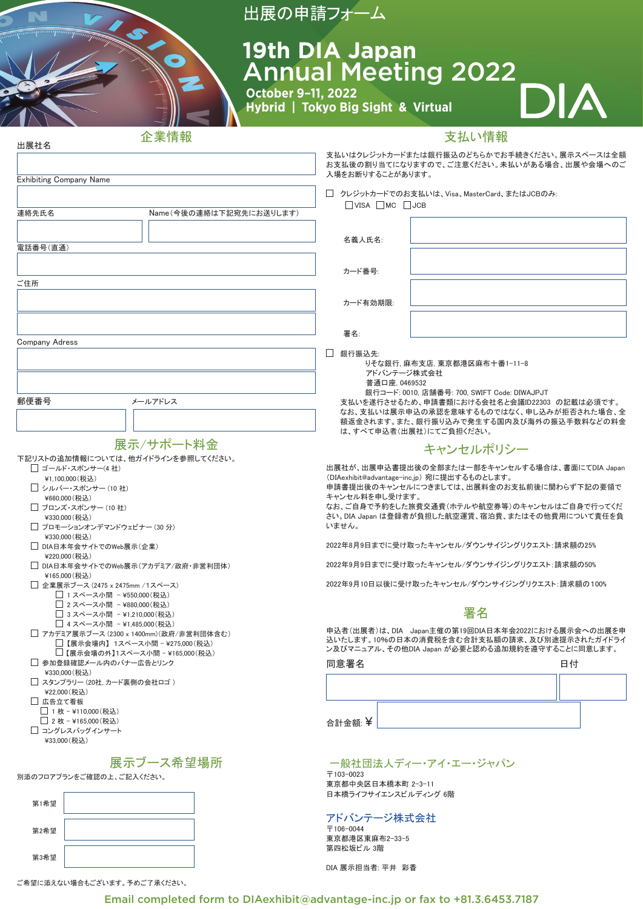|                                                                                                     | 出展の申請フォーム                                                                                                                          |
|-----------------------------------------------------------------------------------------------------|------------------------------------------------------------------------------------------------------------------------------------|
|                                                                                                     | <b>19th DIA Japan</b>                                                                                                              |
|                                                                                                     | <b>Annual Meeting 2022</b>                                                                                                         |
| October 9-11, 2022                                                                                  | DIA                                                                                                                                |
| Hybrid   Tokyo Big Sight & Virtual                                                                  |                                                                                                                                    |
| 企業情報<br>出展社名                                                                                        | 支払い情報                                                                                                                              |
| <b>Exhibiting Company Name</b>                                                                      | 支払いはクレジットカードまたは銀行振込のどちらかでお手続きください。展示スペースは全額<br>お支払後の割り当てになりますので、ご注意ください。未払いがある場合、出展や会場へのご<br>入場をお断りすることがあります。                      |
|                                                                                                     | □ クレジットカードでのお支払いは、Visa、MasterCard、またはJCBのみ:<br>$\Box$ VISA $\Box$ MC $\Box$ JCB                                                    |
| 連絡先氏名<br>Name(今後の連絡は下記宛先にお送りします)                                                                    |                                                                                                                                    |
| 電話番号(直通)                                                                                            | 名義人氏名:                                                                                                                             |
|                                                                                                     | カード番号:                                                                                                                             |
| ご住所                                                                                                 | カード有効期限:                                                                                                                           |
|                                                                                                     |                                                                                                                                    |
| <b>Company Adress</b>                                                                               | 署名:                                                                                                                                |
|                                                                                                     | □ 銀行振込先:<br>りそな銀行. 麻布支店. 東京都港区麻布十番1-11-8<br>アドバンテージ株式会社                                                                            |
|                                                                                                     | 普通口座, 0469532<br>銀行コード: 0010, 店舗番号: 700, SWIFT Code: DIWAJPJT                                                                      |
| 郵便番号<br>メールアドレス                                                                                     | 支払いを遂行させるため、申請書類における会社名と会議ID22303 の記載は必須です。<br>なお、支払いは展示申込の承認を意味するものではなく、申し込みが拒否された場合、全<br>額返金されます。また、銀行振り込みで発生する国内及び海外の振込手数料などの料金 |
| 展示/サポート料金                                                                                           | は、すべて申込者(出展社)にてご負担ください。<br>キャンセルポリシー                                                                                               |
| 下記リストの追加情報については、他ガイドラインを参照してください。<br>□ ゴールド・スポンサー(4 社)                                              | 出展社が、出展申込書提出後の全部または一部をキャンセルする場合は、書面にてDIA Japan                                                                                     |
| ¥1,100,000 (税込)<br>□ シルバー・スポンサー (10 社)                                                              | (DIAexhibit@advantage-inc.jp) 宛に提出するものとします。<br>申請書提出後のキャンセルにつきましては、出展料金のお支払前後に関わらず下記の要領で<br>キャンセル料を申し受けます。                         |
| ¥660,000 (税込)<br>□ ブロンズ・スポンサー (10 社)<br>¥330,000 (税込)                                               | なお、ご自身で予約をした旅費交通費(ホテルや航空券等)のキャンセルはご自身で行ってくだ<br>さい。DIA Japan は登録者が負担した航空運賃、宿泊費、またはその他費用について責任を負                                     |
| □ プロモーションオンデマンドウェビナー (30 分)<br>¥330,000 (税込)                                                        | いません。                                                                                                                              |
| □ DIA日本年会サイトでのWeb展示(企業)<br>¥220.000 (税认)                                                            | 2022年8月9日までに受け取ったキャンセル/ダウンサイジングリクエスト:請求額の25%<br>2022年9月9日までに受け取ったキャンセル/ダウンサイジングリクエスト:請求額の50%                                       |
| □ DIA日本年会サイトでのWeb展示(アカデミア/政府・非営利団体)<br>¥165,000 (税込)<br>□ 企業展示ブース (2475 x 2475mm /1スペース)            | 2022年9月10日以後に受け取ったキャンセル/ダウンサイジングリクエスト:請求額の100%                                                                                     |
| □ 1スペース小間 - ¥550,000(税込)<br>□ 2 スペース小間 - ¥880,000(税込)                                               | 署名                                                                                                                                 |
| □ 3スペース小間 -¥1,210,000(税込)<br>□ 4スペース小間 -¥1,485,000 (税込)<br>□ アカデミア展示ブース (2300 x 1400mm)(政府/非営利団体含む) | 申込者(出展者)は、DIA Japan主催の第19回DIA日本年会2022における展示会への出展を申                                                                                 |
| □【展示会場内】1スペース小間 - ¥275,000(税込)<br>□【展示会場の外】1スペース小間 - ¥165,000(税込)                                   | 込いたします。10%の日本の消費税を含む合計支払額の請求、及び別途提示されたガイドライ<br>ン及びマニュアル、その他DIA Japan が必要と認める追加規約を遵守することに同意します。                                     |
| □ 参加登録確認メール内のバナー広告とリンク<br>¥330,000 (税込)                                                             | 同意署名<br>日付                                                                                                                         |
| □ スタンプラリー (20社. カード裏側の会社ロゴ)<br>¥22,000 (税込)<br>□ 広告立て看板                                             |                                                                                                                                    |
| □ 1枚 - ¥110,000 (税込)<br>□ 2枚 - ¥165,000 (税込)                                                        | 合計金額: ¥                                                                                                                            |
| □ コングレスバッグインサート<br>¥33,000 (税込)                                                                     |                                                                                                                                    |
| 展示ブース希望場所                                                                                           | 一般社団法人ディー・アイ・エー・ジャパン<br>〒103-0023                                                                                                  |
| 別添のフロアプランをご確認の上、ご記入ください。                                                                            | 東京都中央区日本橋本町 2-3-11<br>日本橋ライフサイエンスビルディング 6階                                                                                         |
| 第1希望                                                                                                | アドバンテージ株式会社                                                                                                                        |
| 第2希望                                                                                                | 〒106-0044<br>東京都港区東麻布2-33-5<br>第四松坂ビル 3階                                                                                           |
| 第3希望                                                                                                | DIA 展示担当者: 平井 彩香                                                                                                                   |

ご希望に添えない場合もございます。予めご了承ください。

Email completed form to DIAexhibit@advantage-inc.jp or fax to +81.3.6453.7187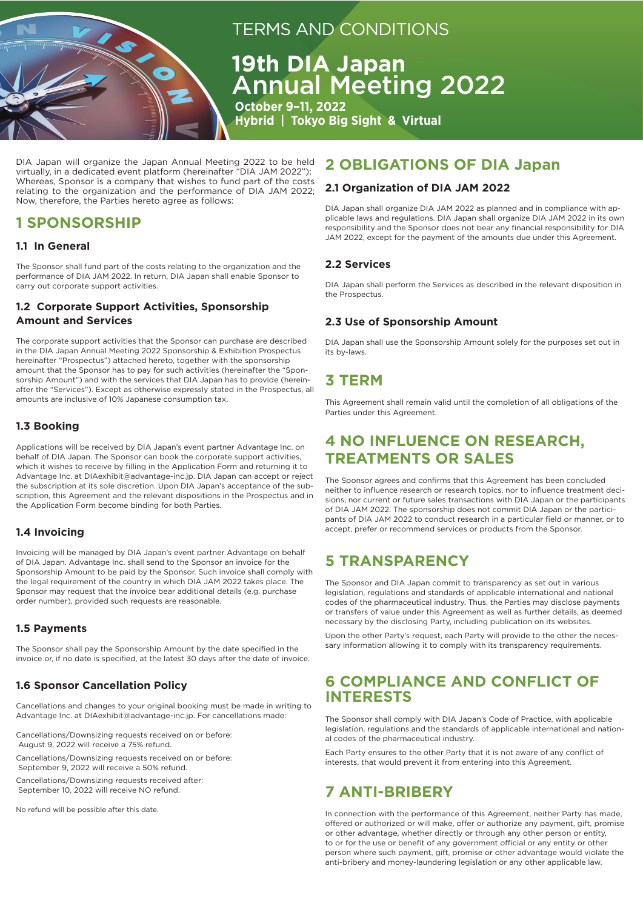

# TERMS AND CONDITIONS

**19th DIA Japan** Annual Meeting 2022

 **October 9–11, 2022 Hybrid | Tokyo Big Sight & Virtual**

DIA Japan will organize the Japan Annual Meeting 2022 to be held virtually, in a dedicated event platform (hereinafter "DIA JAM 2022"); Whereas, Sponsor is a company that wishes to fund part of the costs relating to the organization and the performance of DIA JAM 2022; Now, therefore, the Parties hereto agree as follows:

## **1 SPONSORSHIP**

#### **1.1 In General**

The Sponsor shall fund part of the costs relating to the organization and the performance of DIA JAM 2022. In return, DIA Japan shall enable Sponsor to carry out corporate support activities.

#### **1.2 Corporate Support Activities, Sponsorship Amount and Services**

The corporate support activities that the Sponsor can purchase are described in the DIA Japan Annual Meeting 2022 Sponsorship & Exhibition Prospectus hereinafter "Prospectus") attached hereto, together with the sponsorship amount that the Sponsor has to pay for such activities (hereinafter the "Sponsorship Amount") and with the services that DIA Japan has to provide (hereinafter the "Services"). Except as otherwise expressly stated in the Prospectus, all amounts are inclusive of 10% Japanese consumption tax.

## **1.3 Booking**

Applications will be received by DIA Japan's event partner Advantage Inc. on behalf of DIA Japan. The Sponsor can book the corporate support activities, which it wishes to receive by filling in the Application Form and returning it to Advantage Inc. at DIAexhibit@advantage-inc.jp. DIA Japan can accept or reject the subscription at its sole discretion. Upon DIA Japan's acceptance of the subscription, this Agreement and the relevant dispositions in the Prospectus and in the Application Form become binding for both Parties.

## **1.4 Invoicing**

Invoicing will be managed by DIA Japan's event partner Advantage on behalf of DIA Japan. Advantage Inc. shall send to the Sponsor an invoice for the Sponsorship Amount to be paid by the Sponsor. Such invoice shall comply with the legal requirement of the country in which DIA JAM 2022 takes place. The Sponsor may request that the invoice bear additional details (e.g. purchase order number), provided such requests are reasonable.

#### **1.5 Payments**

The Sponsor shall pay the Sponsorship Amount by the date specified in the invoice or, if no date is specified, at the latest 30 days after the date of invoice.

## **1.6 Sponsor Cancellation Policy**

Cancellations and changes to your original booking must be made in writing to Advantage Inc. at DIAexhibit@advantage-inc.jp. For cancellations made:

Cancellations/Downsizing requests received on or before: August 9, 2022 will receive a 75% refund.

Cancellations/Downsizing requests received on or before: September 9, 2022 will receive a 50% refund.

Cancellations/Downsizing requests received after: September 10, 2022 will receive NO refund.

No refund will be possible after this date.

## **2 OBLIGATIONS OF DIA Japan**

#### **2.1 Organization of DIA JAM 2022**

DIA Japan shall organize DIA JAM 2022 as planned and in compliance with applicable laws and regulations. DIA Japan shall organize DIA JAM 2022 in its own responsibility and the Sponsor does not bear any financial responsibility for DIA JAM 2022, except for the payment of the amounts due under this Agreement.

#### **2.2 Services**

DIA Japan shall perform the Services as described in the relevant disposition in the Prospectus.

#### **2.3 Use of Sponsorship Amount**

DIA Japan shall use the Sponsorship Amount solely for the purposes set out in its by-laws.

## **3 TERM**

This Agreement shall remain valid until the completion of all obligations of the Parties under this Agreement.

## **4 NO INFLUENCE ON RESEARCH, TREATMENTS OR SALES**

The Sponsor agrees and confirms that this Agreement has been concluded neither to influence research or research topics, nor to influence treatment decisions, nor current or future sales transactions with DIA Japan or the participants of DIA JAM 2022. The sponsorship does not commit DIA Japan or the participants of DIA JAM 2022 to conduct research in a particular field or manner, or to accept, prefer or recommend services or products from the Sponsor.

## **5 TRANSPARENCY**

The Sponsor and DIA Japan commit to transparency as set out in various legislation, regulations and standards of applicable international and national codes of the pharmaceutical industry. Thus, the Parties may disclose payments or transfers of value under this Agreement as well as further details, as deemed necessary by the disclosing Party, including publication on its websites.

Upon the other Party's request, each Party will provide to the other the necessary information allowing it to comply with its transparency requirements.

## **6 COMPLIANCE AND CONFLICT OF INTERESTS**

The Sponsor shall comply with DIA Japan's Code of Practice, with applicable legislation, regulations and the standards of applicable international and national codes of the pharmaceutical industry.

Each Party ensures to the other Party that it is not aware of any conflict of interests, that would prevent it from entering into this Agreement.

## **7 ANTI-BRIBERY**

In connection with the performance of this Agreement, neither Party has made, offered or authorized or will make, offer or authorize any payment, gift, promise or other advantage, whether directly or through any other person or entity, to or for the use or benefit of any government official or any entity or other person where such payment, gift, promise or other advantage would violate the anti-bribery and money-laundering legislation or any other applicable law.